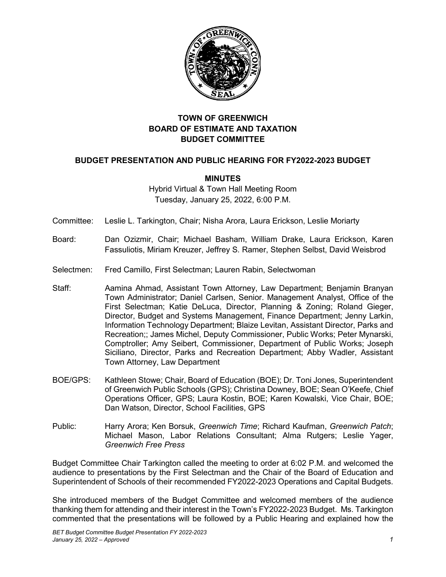

# **TOWN OF GREENWICH BOARD OF ESTIMATE AND TAXATION BUDGET COMMITTEE**

# **BUDGET PRESENTATION AND PUBLIC HEARING FOR FY2022-2023 BUDGET**

# **MINUTES**

Hybrid Virtual & Town Hall Meeting Room Tuesday, January 25, 2022, 6:00 P.M.

Committee: Leslie L. Tarkington, Chair; Nisha Arora, Laura Erickson, Leslie Moriarty

- Board: Dan Ozizmir, Chair; Michael Basham, William Drake, Laura Erickson, Karen Fassuliotis, Miriam Kreuzer, Jeffrey S. Ramer, Stephen Selbst, David Weisbrod
- Selectmen: Fred Camillo, First Selectman; Lauren Rabin, Selectwoman
- Staff: Aamina Ahmad, Assistant Town Attorney, Law Department; Benjamin Branyan Town Administrator; Daniel Carlsen, Senior. Management Analyst, Office of the First Selectman; Katie DeLuca, Director, Planning & Zoning; Roland Gieger, Director, Budget and Systems Management, Finance Department; Jenny Larkin, Information Technology Department; Blaize Levitan, Assistant Director, Parks and Recreation;; James Michel, Deputy Commissioner, Public Works; Peter Mynarski, Comptroller; Amy Seibert, Commissioner, Department of Public Works; Joseph Siciliano, Director, Parks and Recreation Department; Abby Wadler, Assistant Town Attorney, Law Department
- BOE/GPS: Kathleen Stowe; Chair, Board of Education (BOE); Dr. Toni Jones, Superintendent of Greenwich Public Schools (GPS); Christina Downey, BOE; Sean O'Keefe, Chief Operations Officer, GPS; Laura Kostin, BOE; Karen Kowalski, Vice Chair, BOE; Dan Watson, Director, School Facilities, GPS
- Public: Harry Arora; Ken Borsuk, *Greenwich Time*; Richard Kaufman, *Greenwich Patch*; Michael Mason, Labor Relations Consultant; Alma Rutgers; Leslie Yager, *Greenwich Free Press*

Budget Committee Chair Tarkington called the meeting to order at 6:02 P.M. and welcomed the audience to presentations by the First Selectman and the Chair of the Board of Education and Superintendent of Schools of their recommended FY2022-2023 Operations and Capital Budgets.

She introduced members of the Budget Committee and welcomed members of the audience thanking them for attending and their interest in the Town's FY2022-2023 Budget. Ms. Tarkington commented that the presentations will be followed by a Public Hearing and explained how the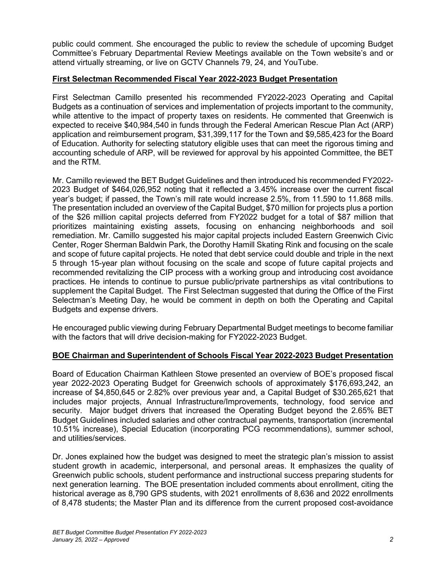public could comment. She encouraged the public to review the schedule of upcoming Budget Committee's February Departmental Review Meetings available on the Town website's and or attend virtually streaming, or live on GCTV Channels 79, 24, and YouTube.

### **First Selectman Recommended Fiscal Year 2022-2023 Budget Presentation**

First Selectman Camillo presented his recommended FY2022-2023 Operating and Capital Budgets as a continuation of services and implementation of projects important to the community, while attentive to the impact of property taxes on residents. He commented that Greenwich is expected to receive \$40,984,540 in funds through the Federal American Rescue Plan Act (ARP) application and reimbursement program, \$31,399,117 for the Town and \$9,585,423 for the Board of Education. Authority for selecting statutory eligible uses that can meet the rigorous timing and accounting schedule of ARP, will be reviewed for approval by his appointed Committee, the BET and the RTM.

Mr. Camillo reviewed the BET Budget Guidelines and then introduced his recommended FY2022- 2023 Budget of \$464,026,952 noting that it reflected a 3.45% increase over the current fiscal year's budget; if passed, the Town's mill rate would increase 2.5%, from 11.590 to 11.868 mills. The presentation included an overview of the Capital Budget, \$70 million for projects plus a portion of the \$26 million capital projects deferred from FY2022 budget for a total of \$87 million that prioritizes maintaining existing assets, focusing on enhancing neighborhoods and soil remediation. Mr. Camillo suggested his major capital projects included Eastern Greenwich Civic Center, Roger Sherman Baldwin Park, the Dorothy Hamill Skating Rink and focusing on the scale and scope of future capital projects. He noted that debt service could double and triple in the next 5 through 15-year plan without focusing on the scale and scope of future capital projects and recommended revitalizing the CIP process with a working group and introducing cost avoidance practices. He intends to continue to pursue public/private partnerships as vital contributions to supplement the Capital Budget. The First Selectman suggested that during the Office of the First Selectman's Meeting Day, he would be comment in depth on both the Operating and Capital Budgets and expense drivers.

He encouraged public viewing during February Departmental Budget meetings to become familiar with the factors that will drive decision-making for FY2022-2023 Budget.

#### **BOE Chairman and Superintendent of Schools Fiscal Year 2022-2023 Budget Presentation**

Board of Education Chairman Kathleen Stowe presented an overview of BOE's proposed fiscal year 2022-2023 Operating Budget for Greenwich schools of approximately \$176,693,242, an increase of \$4,850,645 or 2.82% over previous year and, a Capital Budget of \$30.265,621 that includes major projects, Annual Infrastructure/Improvements, technology, food service and security. Major budget drivers that increased the Operating Budget beyond the 2.65% BET Budget Guidelines included salaries and other contractual payments, transportation (incremental 10.51% increase), Special Education (incorporating PCG recommendations), summer school, and utilities/services.

Dr. Jones explained how the budget was designed to meet the strategic plan's mission to assist student growth in academic, interpersonal, and personal areas. It emphasizes the quality of Greenwich public schools, student performance and instructional success preparing students for next generation learning. The BOE presentation included comments about enrollment, citing the historical average as 8,790 GPS students, with 2021 enrollments of 8,636 and 2022 enrollments of 8,478 students; the Master Plan and its difference from the current proposed cost-avoidance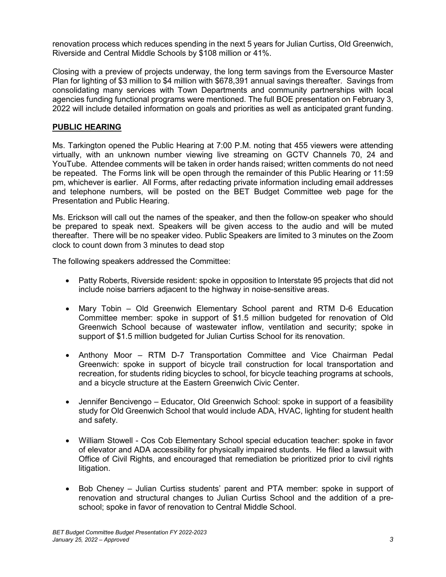renovation process which reduces spending in the next 5 years for Julian Curtiss, Old Greenwich, Riverside and Central Middle Schools by \$108 million or 41%.

Closing with a preview of projects underway, the long term savings from the Eversource Master Plan for lighting of \$3 million to \$4 million with \$678,391 annual savings thereafter. Savings from consolidating many services with Town Departments and community partnerships with local agencies funding functional programs were mentioned. The full BOE presentation on February 3, 2022 will include detailed information on goals and priorities as well as anticipated grant funding.

# **PUBLIC HEARING**

Ms. Tarkington opened the Public Hearing at 7:00 P.M. noting that 455 viewers were attending virtually, with an unknown number viewing live streaming on GCTV Channels 70, 24 and YouTube. Attendee comments will be taken in order hands raised; written comments do not need be repeated. The Forms link will be open through the remainder of this Public Hearing or 11:59 pm, whichever is earlier. All Forms, after redacting private information including email addresses and telephone numbers, will be posted on the BET Budget Committee web page for the Presentation and Public Hearing.

Ms. Erickson will call out the names of the speaker, and then the follow-on speaker who should be prepared to speak next. Speakers will be given access to the audio and will be muted thereafter. There will be no speaker video. Public Speakers are limited to 3 minutes on the Zoom clock to count down from 3 minutes to dead stop

The following speakers addressed the Committee:

- Patty Roberts, Riverside resident: spoke in opposition to Interstate 95 projects that did not include noise barriers adjacent to the highway in noise-sensitive areas.
- Mary Tobin Old Greenwich Elementary School parent and RTM D-6 Education Committee member: spoke in support of \$1.5 million budgeted for renovation of Old Greenwich School because of wastewater inflow, ventilation and security; spoke in support of \$1.5 million budgeted for Julian Curtiss School for its renovation.
- Anthony Moor RTM D-7 Transportation Committee and Vice Chairman Pedal Greenwich: spoke in support of bicycle trail construction for local transportation and recreation, for students riding bicycles to school, for bicycle teaching programs at schools, and a bicycle structure at the Eastern Greenwich Civic Center.
- Jennifer Bencivengo Educator, Old Greenwich School: spoke in support of a feasibility study for Old Greenwich School that would include ADA, HVAC, lighting for student health and safety.
- William Stowell Cos Cob Elementary School special education teacher: spoke in favor of elevator and ADA accessibility for physically impaired students. He filed a lawsuit with Office of Civil Rights, and encouraged that remediation be prioritized prior to civil rights litigation.
- Bob Cheney Julian Curtiss students' parent and PTA member: spoke in support of renovation and structural changes to Julian Curtiss School and the addition of a preschool; spoke in favor of renovation to Central Middle School.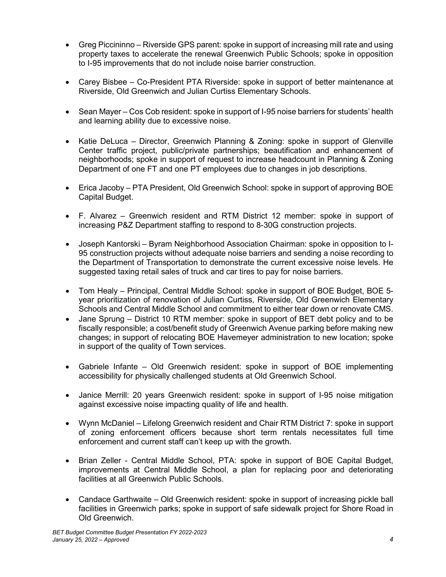- Greg Piccininno Riverside GPS parent: spoke in support of increasing mill rate and using property taxes to accelerate the renewal Greenwich Public Schools; spoke in opposition to I-95 improvements that do not include noise barrier construction.
- Carey Bisbee Co-President PTA Riverside: spoke in support of better maintenance at Riverside, Old Greenwich and Julian Curtiss Elementary Schools.
- Sean Mayer Cos Cob resident: spoke in support of I-95 noise barriers for students' health and learning ability due to excessive noise.
- Katie DeLuca Director, Greenwich Planning & Zoning: spoke in support of Glenville Center traffic project, public/private partnerships; beautification and enhancement of neighborhoods; spoke in support of request to increase headcount in Planning & Zoning Department of one FT and one PT employees due to changes in job descriptions.
- Erica Jacoby PTA President, Old Greenwich School: spoke in support of approving BOE Capital Budget.
- F. Alvarez Greenwich resident and RTM District 12 member: spoke in support of increasing P&Z Department staffing to respond to 8-30G construction projects.
- Joseph Kantorski Byram Neighborhood Association Chairman: spoke in opposition to I-95 construction projects without adequate noise barriers and sending a noise recording to the Department of Transportation to demonstrate the current excessive noise levels. He suggested taxing retail sales of truck and car tires to pay for noise barriers.
- Tom Healy Principal, Central Middle School: spoke in support of BOE Budget, BOE 5 year prioritization of renovation of Julian Curtiss, Riverside, Old Greenwich Elementary Schools and Central Middle School and commitment to either tear down or renovate CMS.
- Jane Sprung District 10 RTM member: spoke in support of BET debt policy and to be fiscally responsible; a cost/benefit study of Greenwich Avenue parking before making new changes; in support of relocating BOE Havemeyer administration to new location; spoke in support of the quality of Town services.
- Gabriele Infante Old Greenwich resident: spoke in support of BOE implementing accessibility for physically challenged students at Old Greenwich School.
- Janice Merrill: 20 years Greenwich resident: spoke in support of I-95 noise mitigation against excessive noise impacting quality of life and health.
- Wynn McDaniel Lifelong Greenwich resident and Chair RTM District 7: spoke in support of zoning enforcement officers because short term rentals necessitates full time enforcement and current staff can't keep up with the growth.
- Brian Zeller Central Middle School, PTA: spoke in support of BOE Capital Budget, improvements at Central Middle School, a plan for replacing poor and deteriorating facilities at all Greenwich Public Schools.
- Candace Garthwaite Old Greenwich resident: spoke in support of increasing pickle ball facilities in Greenwich parks; spoke in support of safe sidewalk project for Shore Road in Old Greenwich.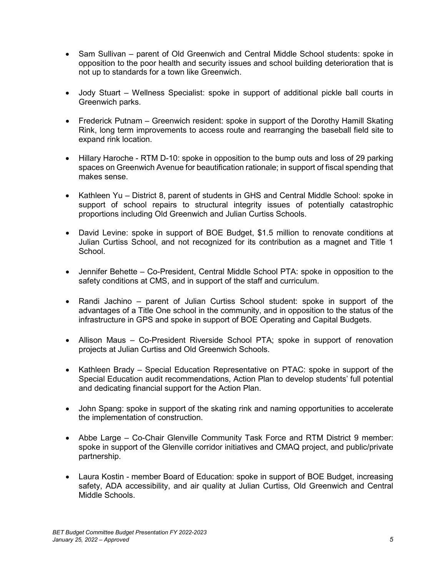- Sam Sullivan parent of Old Greenwich and Central Middle School students: spoke in opposition to the poor health and security issues and school building deterioration that is not up to standards for a town like Greenwich.
- Jody Stuart Wellness Specialist: spoke in support of additional pickle ball courts in Greenwich parks.
- Frederick Putnam Greenwich resident: spoke in support of the Dorothy Hamill Skating Rink, long term improvements to access route and rearranging the baseball field site to expand rink location.
- Hillary Haroche RTM D-10: spoke in opposition to the bump outs and loss of 29 parking spaces on Greenwich Avenue for beautification rationale; in support of fiscal spending that makes sense.
- Kathleen Yu District 8, parent of students in GHS and Central Middle School: spoke in support of school repairs to structural integrity issues of potentially catastrophic proportions including Old Greenwich and Julian Curtiss Schools.
- David Levine: spoke in support of BOE Budget, \$1.5 million to renovate conditions at Julian Curtiss School, and not recognized for its contribution as a magnet and Title 1 School.
- Jennifer Behette Co-President, Central Middle School PTA: spoke in opposition to the safety conditions at CMS, and in support of the staff and curriculum.
- Randi Jachino parent of Julian Curtiss School student: spoke in support of the advantages of a Title One school in the community, and in opposition to the status of the infrastructure in GPS and spoke in support of BOE Operating and Capital Budgets.
- Allison Maus Co-President Riverside School PTA; spoke in support of renovation projects at Julian Curtiss and Old Greenwich Schools.
- Kathleen Brady Special Education Representative on PTAC: spoke in support of the Special Education audit recommendations, Action Plan to develop students' full potential and dedicating financial support for the Action Plan.
- John Spang: spoke in support of the skating rink and naming opportunities to accelerate the implementation of construction.
- Abbe Large Co-Chair Glenville Community Task Force and RTM District 9 member: spoke in support of the Glenville corridor initiatives and CMAQ project, and public/private partnership.
- Laura Kostin member Board of Education: spoke in support of BOE Budget, increasing safety, ADA accessibility, and air quality at Julian Curtiss, Old Greenwich and Central Middle Schools.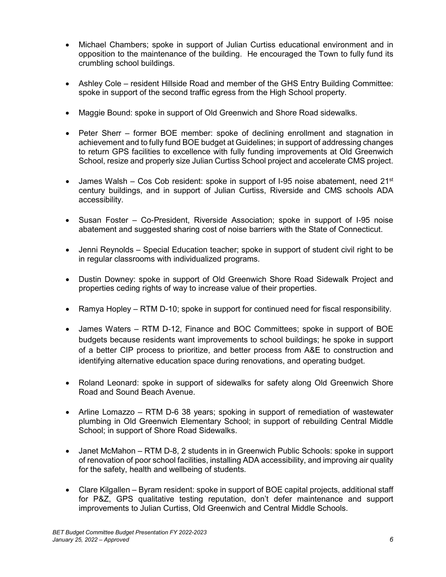- Michael Chambers; spoke in support of Julian Curtiss educational environment and in opposition to the maintenance of the building. He encouraged the Town to fully fund its crumbling school buildings.
- Ashley Cole resident Hillside Road and member of the GHS Entry Building Committee: spoke in support of the second traffic egress from the High School property.
- Maggie Bound: spoke in support of Old Greenwich and Shore Road sidewalks.
- Peter Sherr former BOE member: spoke of declining enrollment and stagnation in achievement and to fully fund BOE budget at Guidelines; in support of addressing changes to return GPS facilities to excellence with fully funding improvements at Old Greenwich School, resize and properly size Julian Curtiss School project and accelerate CMS project.
- James Walsh Cos Cob resident: spoke in support of I-95 noise abatement, need 21st century buildings, and in support of Julian Curtiss, Riverside and CMS schools ADA accessibility.
- Susan Foster Co-President, Riverside Association; spoke in support of I-95 noise abatement and suggested sharing cost of noise barriers with the State of Connecticut.
- Jenni Reynolds Special Education teacher; spoke in support of student civil right to be in regular classrooms with individualized programs.
- Dustin Downey: spoke in support of Old Greenwich Shore Road Sidewalk Project and properties ceding rights of way to increase value of their properties.
- Ramya Hopley RTM D-10; spoke in support for continued need for fiscal responsibility.
- James Waters RTM D-12, Finance and BOC Committees; spoke in support of BOE budgets because residents want improvements to school buildings; he spoke in support of a better CIP process to prioritize, and better process from A&E to construction and identifying alternative education space during renovations, and operating budget.
- Roland Leonard: spoke in support of sidewalks for safety along Old Greenwich Shore Road and Sound Beach Avenue.
- Arline Lomazzo RTM D-6 38 years; spoking in support of remediation of wastewater plumbing in Old Greenwich Elementary School; in support of rebuilding Central Middle School; in support of Shore Road Sidewalks.
- Janet McMahon RTM D-8, 2 students in in Greenwich Public Schools: spoke in support of renovation of poor school facilities, installing ADA accessibility, and improving air quality for the safety, health and wellbeing of students.
- Clare Kilgallen Byram resident: spoke in support of BOE capital projects, additional staff for P&Z, GPS qualitative testing reputation, don't defer maintenance and support improvements to Julian Curtiss, Old Greenwich and Central Middle Schools.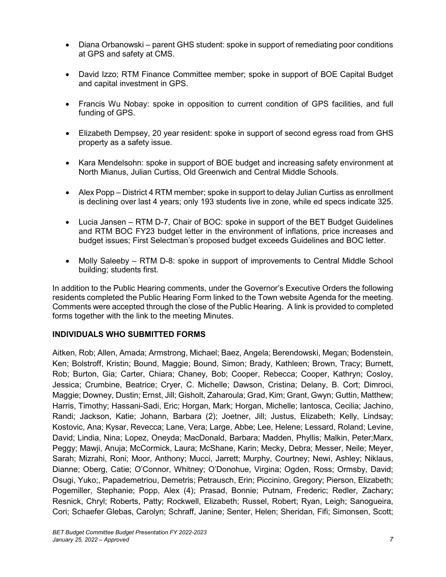- Diana Orbanowski parent GHS student: spoke in support of remediating poor conditions at GPS and safety at CMS.
- David Izzo; RTM Finance Committee member; spoke in support of BOE Capital Budget and capital investment in GPS.
- Francis Wu Nobay: spoke in opposition to current condition of GPS facilities, and full funding of GPS.
- Elizabeth Dempsey, 20 year resident: spoke in support of second egress road from GHS property as a safety issue.
- Kara Mendelsohn: spoke in support of BOE budget and increasing safety environment at North Mianus, Julian Curtiss, Old Greenwich and Central Middle Schools.
- Alex Popp District 4 RTM member; spoke in support to delay Julian Curtiss as enrollment is declining over last 4 years; only 193 students live in zone, while ed specs indicate 325.
- Lucia Jansen RTM D-7, Chair of BOC: spoke in support of the BET Budget Guidelines and RTM BOC FY23 budget letter in the environment of inflations, price increases and budget issues; First Selectman's proposed budget exceeds Guidelines and BOC letter.
- Molly Saleeby RTM D-8: spoke in support of improvements to Central Middle School building; students first.

In addition to the Public Hearing comments, under the Governor's Executive Orders the following residents completed the Public Hearing Form linked to the Town website Agenda for the meeting. Comments were accepted through the close of the Public Hearing. A link is provided to completed forms together with the link to the meeting Minutes.

### **INDIVIDUALS WHO SUBMITTED FORMS**

Aitken, Rob; Allen, Amada; Armstrong, Michael; Baez, Angela; Berendowski, Megan; Bodenstein, Ken; Bolstroff, Kristin; Bound, Maggie; Bound, Simon; Brady, Kathleen; Brown, Tracy; Burnett, Rob; Burton, Gia; Carter, Chiara; Chaney, Bob; Cooper, Rebecca; Cooper, Kathryn; Cosloy, Jessica; Crumbine, Beatrice; Cryer, C. Michelle; Dawson, Cristina; Delany, B. Cort; Dimroci, Maggie; Downey, Dustin; Ernst, Jill; Gisholt, Zaharoula; Grad, Kim; Grant, Gwyn; Guttin, Matthew; Harris, Timothy; Hassani-Sadi, Eric; Horgan, Mark; Horgan, Michelle; Iantosca, Cecilia; Jachino, Randi; Jackson, Katie; Johann, Barbara (2); Joetner, Jill; Justus, Elizabeth; Kelly, Lindsay; Kostovic, Ana; Kysar, Revecca; Lane, Vera; Large, Abbe; Lee, Helene; Lessard, Roland; Levine, David; Lindia, Nina; Lopez, Oneyda; MacDonald, Barbara; Madden, Phyllis; Malkin, Peter;Marx, Peggy; Mawji, Anuja; McCormick, Laura; McShane, Karin; Mecky, Debra; Messer, Neile; Meyer, Sarah; Mizrahi, Roni; Moor, Anthony; Mucci, Jarrett; Murphy, Courtney; Newi, Ashley; Niklaus, Dianne; Oberg, Catie; O'Connor, Whitney; O'Donohue, Virgina; Ogden, Ross; Ormsby, David; Osugi, Yuko;, Papademetriou, Demetris; Petrausch, Erin; Piccinino, Gregory; Pierson, Elizabeth; Pogemiller, Stephanie; Popp, Alex (4); Prasad, Bonnie; Putnam, Frederic; Redler, Zachary; Resnick, Chryl; Roberts, Patty; Rockwell, Elizabeth; Russel, Robert; Ryan, Leigh; Sanogueira, Cori; Schaefer Glebas, Carolyn; Schraff, Janine; Senter, Helen; Sheridan, Fifi; Simonsen, Scott;